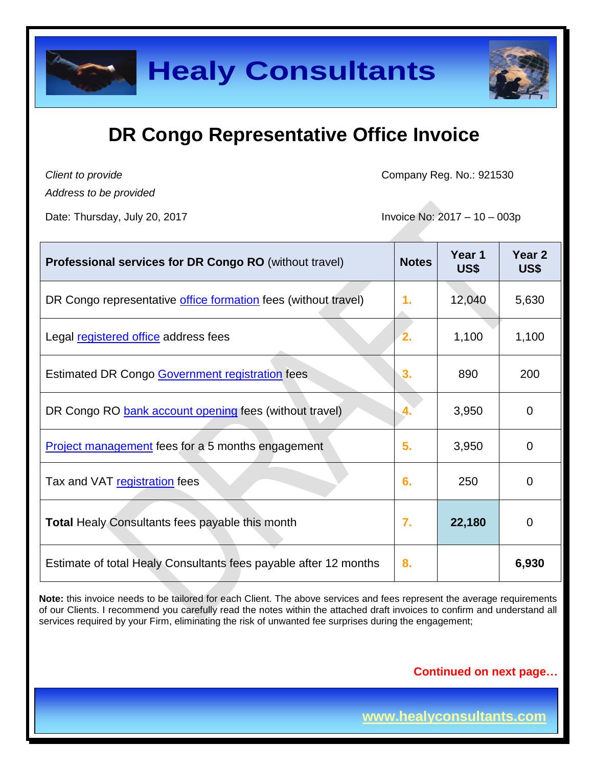

*Client to provide*

Company Reg. No.: 921530

*Address to be provided*

Date: Thursday, July 20, 2017 **Invoice No: 2017** - 10 – 003p

| <b>Professional services for DR Congo RO</b> (without travel)    | <b>Notes</b>  | Year 1<br>US\$ | Year 2<br>US\$ |
|------------------------------------------------------------------|---------------|----------------|----------------|
| DR Congo representative office formation fees (without travel)   | $\mathbf 1$ . | 12,040         | 5,630          |
| Legal registered office address fees                             | 2.            | 1,100          | 1,100          |
| Estimated DR Congo Government registration fees                  | 3.            | 890            | 200            |
| DR Congo RO bank account opening fees (without travel)           |               | 3,950          | 0              |
| <b>Project management</b> fees for a 5 months engagement         | 5.            | 3,950          | 0              |
| Tax and VAT registration fees                                    | 6.            | 250            | 0              |
| <b>Total Healy Consultants fees payable this month</b>           | 7.            | 22,180         | 0              |
| Estimate of total Healy Consultants fees payable after 12 months | 8.            |                | 6,930          |

**Note:** this invoice needs to be tailored for each Client. The above services and fees represent the average requirements of our Clients. I recommend you carefully read the notes within the attached draft invoices to confirm and understand all services required by your Firm, eliminating the risk of unwanted fee surprises during the engagement;

### **Continued on next page…**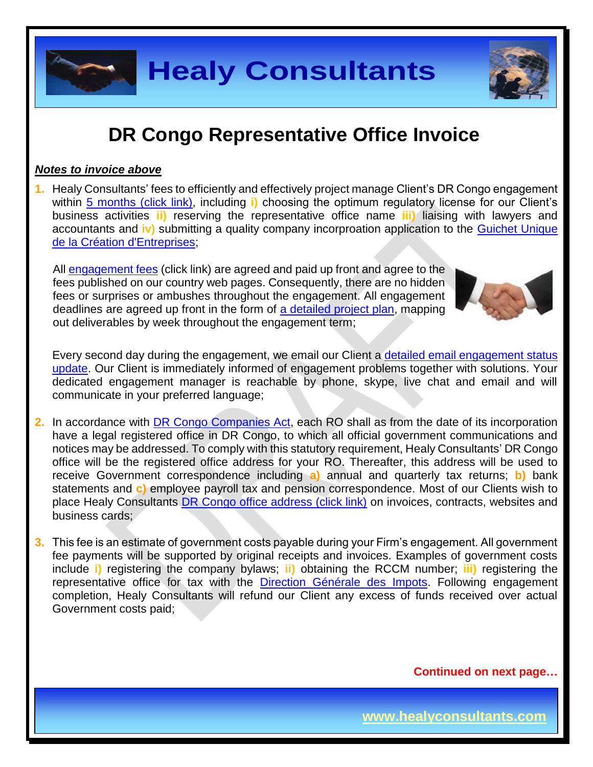

### *Notes to invoice above*

**1.** Healy Consultants' fees to efficiently and effectively project manage Client's DR Congo engagement within 5 [months \(click link\),](http://www.healyconsultants.com/democratic-republic-of-congo-company-registration/fees-timelines/#timelines) including **i)** choosing the optimum regulatory license for our Client's business activities **ii)** reserving the representative office name **iii)** liaising with lawyers and accountants and **iv)** submitting a quality company incorproation application to the [Guichet Unique](http://fr.guichetunique.cd/)  [de la Création d'Entreprises;](http://fr.guichetunique.cd/)

All [engagement fees](http://www.healyconsultants.com/company-registration-fees/) (click link) are agreed and paid up front and agree to the fees published on our country web pages. Consequently, there are no hidden fees or surprises or ambushes throughout the engagement. All engagement deadlines are agreed up front in the form of [a detailed project plan,](http://www.healyconsultants.com/index-important-links/example-project-plan/) mapping out deliverables by week throughout the engagement term;



Every second day during the engagement, we email our Client a [detailed email engagement status](http://www.healyconsultants.com/index-important-links/weekly-engagement-status-email/)  [update.](http://www.healyconsultants.com/index-important-links/weekly-engagement-status-email/) Our Client is immediately informed of engagement problems together with solutions. Your dedicated engagement manager is reachable by phone, skype, live chat and email and will communicate in your preferred language;

- **2.** In accordance with [DR Congo Companies Act,](http://www.ohada.com/actes-uniformes.html) each RO shall as from the date of its incorporation have a legal registered office in DR Congo, to which all official government communications and notices may be addressed. To comply with this statutory requirement, Healy Consultants' DR Congo office will be the registered office address for your RO. Thereafter, this address will be used to receive Government correspondence including **a)** annual and quarterly tax returns; **b)** bank statements and **c)** employee payroll tax and pension correspondence. Most of our Clients wish to place Healy Consultants [DR Congo office address \(click link\)](http://www.healyconsultants.com/virtual-office/) on invoices, contracts, websites and business cards:
- **3.** This fee is an estimate of government costs payable during your Firm's engagement. All government fee payments will be supported by original receipts and invoices. Examples of government costs include **i)** registering the company bylaws; **ii)** obtaining the RCCM number; **iii)** registering the representative office for tax with the [Direction Générale des Impots.](http://www.dgi.gouv.cd/) Following engagement completion, Healy Consultants will refund our Client any excess of funds received over actual Government costs paid;

**Continued on next page…**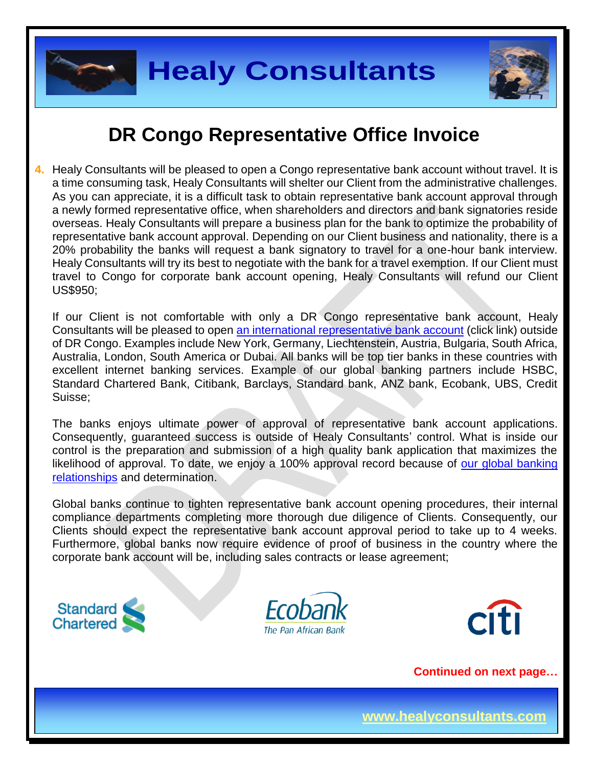



**4.** Healy Consultants will be pleased to open a Congo representative bank account without travel. It is a time consuming task, Healy Consultants will shelter our Client from the administrative challenges. As you can appreciate, it is a difficult task to obtain representative bank account approval through a newly formed representative office, when shareholders and directors and bank signatories reside overseas. Healy Consultants will prepare a business plan for the bank to optimize the probability of representative bank account approval. Depending on our Client business and nationality, there is a 20% probability the banks will request a bank signatory to travel for a one-hour bank interview. Healy Consultants will try its best to negotiate with the bank for a travel exemption. If our Client must travel to Congo for corporate bank account opening, Healy Consultants will refund our Client US\$950;

If our Client is not comfortable with only a DR Congo representative bank account, Healy Consultants will be pleased to open [an international representative](http://www.healyconsultants.com/international-banking/) bank account (click link) outside of DR Congo. Examples include New York, Germany, Liechtenstein, Austria, Bulgaria, South Africa, Australia, London, South America or Dubai. All banks will be top tier banks in these countries with excellent internet banking services. Example of our global banking partners include HSBC, Standard Chartered Bank, Citibank, Barclays, Standard bank, ANZ bank, Ecobank, UBS, Credit Suisse;

The banks enjoys ultimate power of approval of representative bank account applications. Consequently, guaranteed success is outside of Healy Consultants' control. What is inside our control is the preparation and submission of a high quality bank application that maximizes the likelihood of approval. To date, we enjoy a 100% approval record because of our global banking [relationships](http://www.healyconsultants.com/international-banking/corporate-accounts/) and determination.

Global banks continue to tighten representative bank account opening procedures, their internal compliance departments completing more thorough due diligence of Clients. Consequently, our Clients should expect the representative bank account approval period to take up to 4 weeks. Furthermore, global banks now require evidence of proof of business in the country where the corporate bank account will be, including sales contracts or lease agreement;







**Continued on next page…**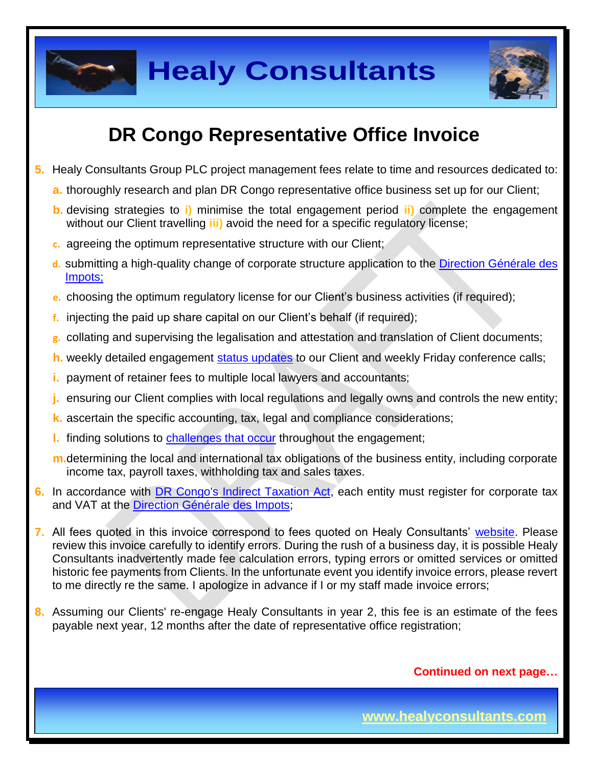

**Healy Consultants**



# **DR Congo Representative Office Invoice**

- **5.** Healy Consultants Group PLC project management fees relate to time and resources dedicated to:
	- **a.** thoroughly research and plan DR Congo representative office business set up for our Client;
	- **b.** devising strategies to **i)** minimise the total engagement period **ii)** complete the engagement without our Client travelling **iii)** avoid the need for a specific regulatory license;
	- **c.** agreeing the optimum representative structure with our Client;
	- **d.** submitting a high-quality change of corporate structure application to the [Direction Générale des](http://www.dgi.gouv.cd/)  [Impots;](http://www.dgi.gouv.cd/)
	- **e.** choosing the optimum regulatory license for our Client's business activities (if required);
	- **f.** injecting the paid up share capital on our Client's behalf (if required);
	- **g.** collating and supervising the legalisation and attestation and translation of Client documents;
	- **h.** weekly detailed engagement [status updates](http://www.healyconsultants.com/index-important-links/weekly-engagement-status-email/) to our Client and weekly Friday conference calls;
	- **i.** payment of retainer fees to multiple local lawyers and accountants;
	- **j.** ensuring our Client complies with local regulations and legally owns and controls the new entity;
	- **k.** ascertain the specific accounting, tax, legal and compliance considerations;
	- **l.** finding solutions to [challenges that occur](http://www.healyconsultants.com/engagement-project-management/) throughout the engagement;
	- **m.**determining the local and international tax obligations of the business entity, including corporate income tax, payroll taxes, withholding tax and sales taxes.
- **6.** In accordance with [DR Congo's Indirect Taxation Act,](http://www.loc.gov/law/foreign-news/article/congo-the-democratic-republic-of-the-new-tax-measures-adopted/) each entity must register for corporate tax and VAT at the [Direction Générale des Impots;](http://impots-gouv.cg/communications/index)
- **7.** All fees quoted in this invoice correspond to fees quoted on Healy Consultants' [website.](http://www.healyconsultants.com/company-registration-fees/) Please review this invoice carefully to identify errors. During the rush of a business day, it is possible Healy Consultants inadvertently made fee calculation errors, typing errors or omitted services or omitted historic fee payments from Clients. In the unfortunate event you identify invoice errors, please revert to me directly re the same. I apologize in advance if I or my staff made invoice errors;
- **8.** Assuming our Clients' re-engage Healy Consultants in year 2, this fee is an estimate of the fees payable next year, 12 months after the date of representative office registration;

**Continued on next page…**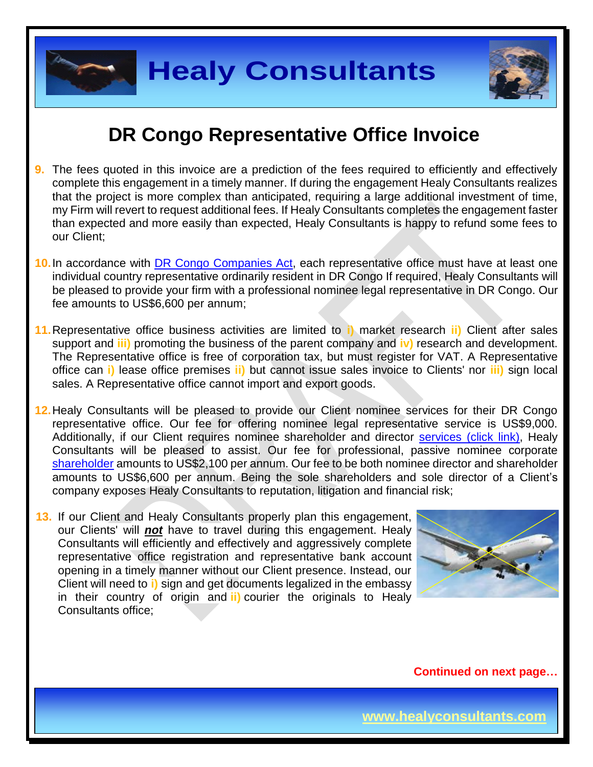

**Healy Consultants**

## **DR Congo Representative Office Invoice**

- **9.** The fees quoted in this invoice are a prediction of the fees required to efficiently and effectively complete this engagement in a timely manner. If during the engagement Healy Consultants realizes that the project is more complex than anticipated, requiring a large additional investment of time, my Firm will revert to request additional fees. If Healy Consultants completes the engagement faster than expected and more easily than expected, Healy Consultants is happy to refund some fees to our Client;
- **10.**In accordance with [DR Congo Companies Act,](http://www.ohada.com/actes-uniformes.html) each representative office must have at least one individual country representative ordinarily resident in DR Congo If required, Healy Consultants will be pleased to provide your firm with a professional nominee legal representative in DR Congo. Our fee amounts to US\$6,600 per annum;
- **11.**Representative office business activities are limited to **i)** market research **ii)** Client after sales support and **iii)** promoting the business of the parent company and **iv)** research and development. The Representative office is free of corporation tax, but must register for VAT. A Representative office can **i)** lease office premises **ii)** but cannot issue sales invoice to Clients' nor **iii)** sign local sales. A Representative office cannot import and export goods.
- **12.**Healy Consultants will be pleased to provide our Client nominee services for their DR Congo representative office. Our fee for offering nominee legal representative service is US\$9,000. Additionally, if our Client requires nominee shareholder and director services [\(click link\),](http://www.healyconsultants.com/corporate-outsourcing-services/nominee-shareholders-directors/) Healy Consultants will be pleased to assist. Our fee for professional, passive nominee corporate [shareholder](http://www.healyconsultants.com/national-shareholder-services/) amounts to US\$2,100 per annum. Our fee to be both nominee director and shareholder amounts to US\$6,600 per annum. Being the sole shareholders and sole director of a Client's company exposes Healy Consultants to reputation, litigation and financial risk;
- **13.** If our Client and Healy Consultants properly plan this engagement, our Clients' will *not* have to travel during this engagement. Healy Consultants will efficiently and effectively and aggressively complete representative office registration and representative bank account opening in a timely manner without our Client presence. Instead, our Client will need to **i)** sign and get documents legalized in the embassy in their country of origin and **ii)** courier the originals to Healy Consultants office;



**Continued on next page…**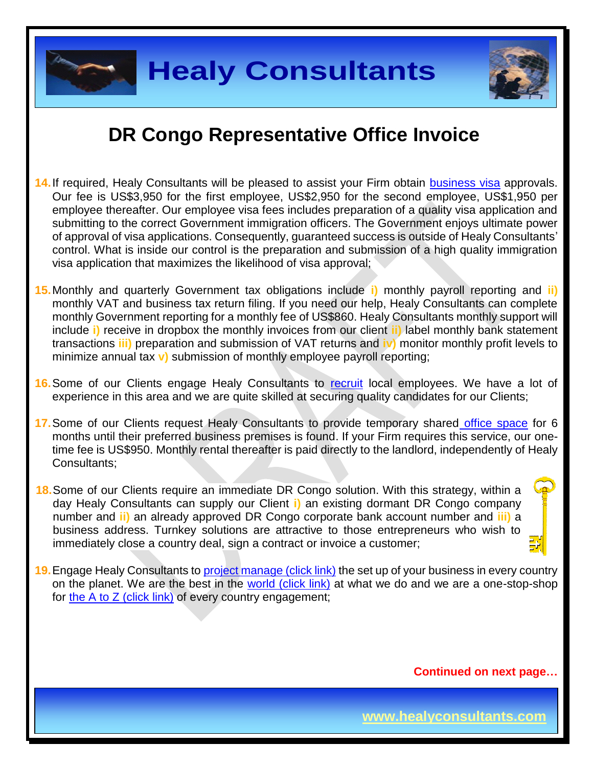

- **14.**If required, Healy Consultants will be pleased to assist your Firm obtain [business visa](http://www.healyconsultants.com/corporate-advisory-services/migration/) approvals. Our fee is US\$3,950 for the first employee, US\$2,950 for the second employee, US\$1,950 per employee thereafter. Our employee visa fees includes preparation of a quality visa application and submitting to the correct Government immigration officers. The Government enjoys ultimate power of approval of visa applications. Consequently, guaranteed success is outside of Healy Consultants' control. What is inside our control is the preparation and submission of a high quality immigration visa application that maximizes the likelihood of visa approval;
- **15.**Monthly and quarterly Government tax obligations include **i)** monthly payroll reporting and **ii)** monthly VAT and business tax return filing. If you need our help, Healy Consultants can complete monthly Government reporting for a monthly fee of US\$860. Healy Consultants monthly support will include **i)** receive in dropbox the monthly invoices from our client **ii)** label monthly bank statement transactions **iii)** preparation and submission of VAT returns and **iv)** monitor monthly profit levels to minimize annual tax **v)** submission of monthly employee payroll reporting;
- **16.**Some of our Clients engage Healy Consultants to [recruit](http://www.healyconsultants.com/corporate-outsourcing-services/how-we-help-our-clients-recruit-quality-employees/) local employees. We have a lot of experience in this area and we are quite skilled at securing quality candidates for our Clients;
- **17.**Some of our Clients request Healy Consultants to provide temporary shared [office space](http://www.healyconsultants.com/virtual-office/) for 6 months until their preferred business premises is found. If your Firm requires this service, our onetime fee is US\$950. Monthly rental thereafter is paid directly to the landlord, independently of Healy Consultants;
- **18.**Some of our Clients require an immediate DR Congo solution. With this strategy, within a day Healy Consultants can supply our Client **i)** an existing dormant DR Congo company number and **ii)** an already approved DR Congo corporate bank account number and **iii)** a business address. Turnkey solutions are attractive to those entrepreneurs who wish to immediately close a country deal, sign a contract or invoice a customer;
- **19.** Engage Healy Consultants to [project manage \(click link\)](http://www.healyconsultants.com/project-manage-engagements/) the set up of your business in every country on the planet. We are the best in the [world \(click link\)](http://www.healyconsultants.com/best-in-the-world/) at what we do and we are a one-stop-shop for [the A to Z \(click link\)](http://www.healyconsultants.com/a-to-z-of-business-set-up/) of every country engagement;

**Continued on next page…**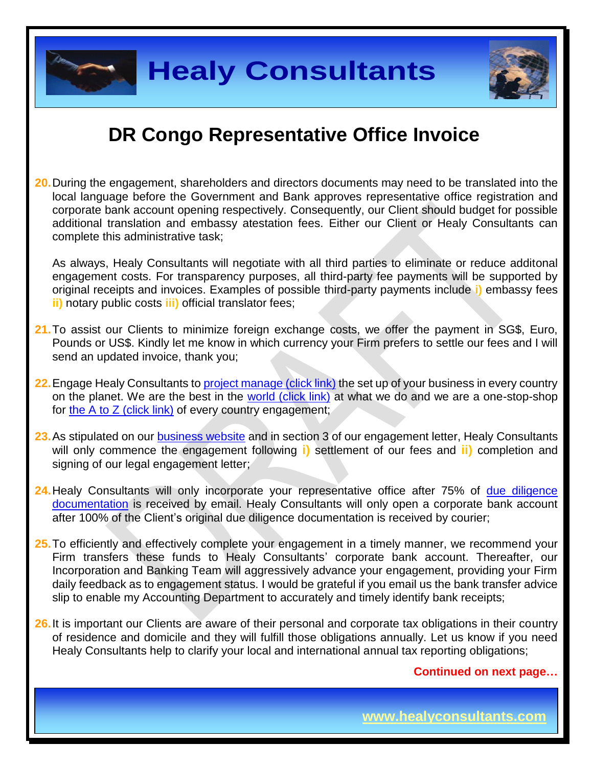

**20.**During the engagement, shareholders and directors documents may need to be translated into the local language before the Government and Bank approves representative office registration and corporate bank account opening respectively. Consequently, our Client should budget for possible additional translation and embassy atestation fees. Either our Client or Healy Consultants can complete this administrative task;

As always, Healy Consultants will negotiate with all third parties to eliminate or reduce additonal engagement costs. For transparency purposes, all third-party fee payments will be supported by original receipts and invoices. Examples of possible third-party payments include **i)** embassy fees **ii)** notary public costs **iii)** official translator fees;

- **21.**To assist our Clients to minimize foreign exchange costs, we offer the payment in SG\$, Euro, Pounds or US\$. Kindly let me know in which currency your Firm prefers to settle our fees and I will send an updated invoice, thank you;
- **22.** Engage Healy Consultants to [project manage \(click link\)](http://www.healyconsultants.com/project-manage-engagements/) the set up of your business in every country on the planet. We are the best in the [world \(click link\)](http://www.healyconsultants.com/best-in-the-world/) at what we do and we are a one-stop-shop for the A to  $Z$  (click link) of every country engagement;
- 23. As stipulated on our **business website** and in section 3 of our engagement letter, Healy Consultants will only commence the engagement following **i)** settlement of our fees and **ii)** completion and signing of our legal engagement letter;
- 24. Healy Consultants will only incorporate your representative office after 75% of due diligence [documentation](http://www.healyconsultants.com/due-diligence/) is received by email. Healy Consultants will only open a corporate bank account after 100% of the Client's original due diligence documentation is received by courier;
- **25.**To efficiently and effectively complete your engagement in a timely manner, we recommend your Firm transfers these funds to Healy Consultants' corporate bank account. Thereafter, our Incorporation and Banking Team will aggressively advance your engagement, providing your Firm daily feedback as to engagement status. I would be grateful if you email us the bank transfer advice slip to enable my Accounting Department to accurately and timely identify bank receipts;
- **26.**It is important our Clients are aware of their personal and corporate tax obligations in their country of residence and domicile and they will fulfill those obligations annually. Let us know if you need Healy Consultants help to clarify your local and international annual tax reporting obligations;

### **Continued on next page…**